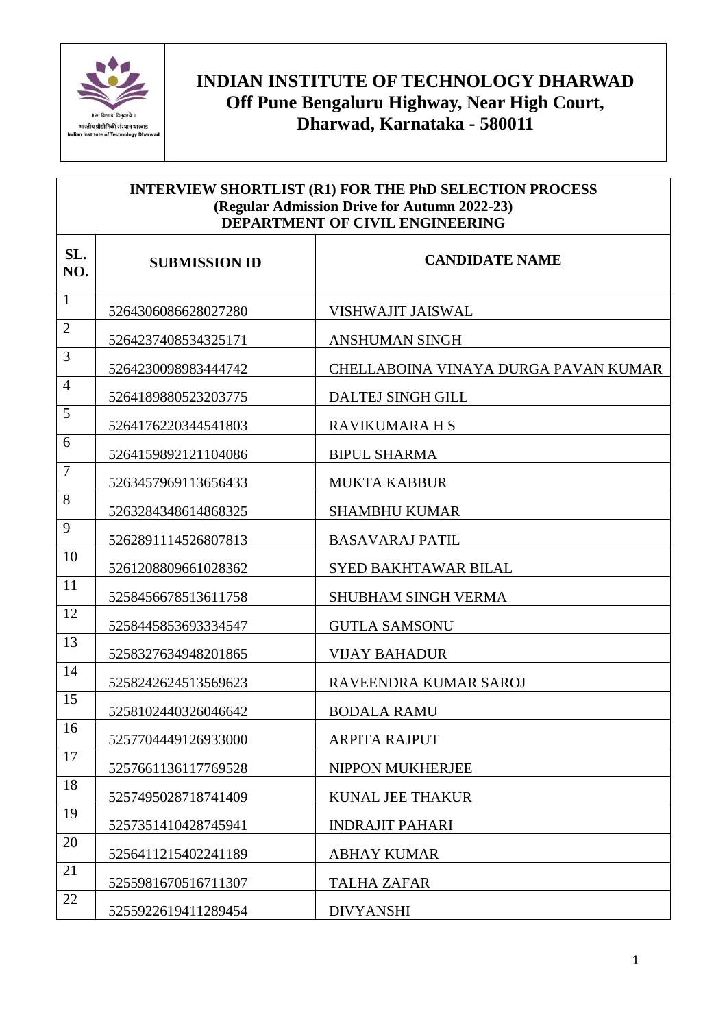

## **INDIAN INSTITUTE OF TECHNOLOGY DHARWAD Off Pune Bengaluru Highway, Near High Court, Dharwad, Karnataka - 580011**

| <b>INTERVIEW SHORTLIST (R1) FOR THE PhD SELECTION PROCESS</b><br>(Regular Admission Drive for Autumn 2022-23)<br><b>DEPARTMENT OF CIVIL ENGINEERING</b> |                      |                                      |
|---------------------------------------------------------------------------------------------------------------------------------------------------------|----------------------|--------------------------------------|
| SL.<br>NO.                                                                                                                                              | <b>SUBMISSION ID</b> | <b>CANDIDATE NAME</b>                |
| $\mathbf{1}$                                                                                                                                            | 5264306086628027280  | <b>VISHWAJIT JAISWAL</b>             |
| $\overline{2}$                                                                                                                                          | 5264237408534325171  | <b>ANSHUMAN SINGH</b>                |
| 3                                                                                                                                                       | 5264230098983444742  | CHELLABOINA VINAYA DURGA PAVAN KUMAR |
| $\overline{4}$                                                                                                                                          | 5264189880523203775  | DALTEJ SINGH GILL                    |
| 5                                                                                                                                                       | 5264176220344541803  | RAVIKUMARA H S                       |
| 6                                                                                                                                                       | 5264159892121104086  | <b>BIPUL SHARMA</b>                  |
| $\overline{7}$                                                                                                                                          | 5263457969113656433  | <b>MUKTA KABBUR</b>                  |
| 8                                                                                                                                                       | 5263284348614868325  | <b>SHAMBHU KUMAR</b>                 |
| 9                                                                                                                                                       | 5262891114526807813  | <b>BASAVARAJ PATIL</b>               |
| 10                                                                                                                                                      | 5261208809661028362  | <b>SYED BAKHTAWAR BILAL</b>          |
| 11                                                                                                                                                      | 5258456678513611758  | <b>SHUBHAM SINGH VERMA</b>           |
| 12                                                                                                                                                      | 5258445853693334547  | <b>GUTLA SAMSONU</b>                 |
| 13                                                                                                                                                      | 5258327634948201865  | <b>VIJAY BAHADUR</b>                 |
| 14                                                                                                                                                      | 5258242624513569623  | RAVEENDRA KUMAR SAROJ                |
| 15                                                                                                                                                      | 5258102440326046642  | <b>BODALA RAMU</b>                   |
| 16                                                                                                                                                      | 5257704449126933000  | <b>ARPITA RAJPUT</b>                 |
| 17                                                                                                                                                      | 5257661136117769528  | NIPPON MUKHERJEE                     |
| 18                                                                                                                                                      | 5257495028718741409  | <b>KUNAL JEE THAKUR</b>              |
| 19                                                                                                                                                      | 5257351410428745941  | <b>INDRAJIT PAHARI</b>               |
| 20                                                                                                                                                      | 5256411215402241189  | <b>ABHAY KUMAR</b>                   |
| 21                                                                                                                                                      | 5255981670516711307  | <b>TALHA ZAFAR</b>                   |
| 22                                                                                                                                                      | 5255922619411289454  | <b>DIVYANSHI</b>                     |